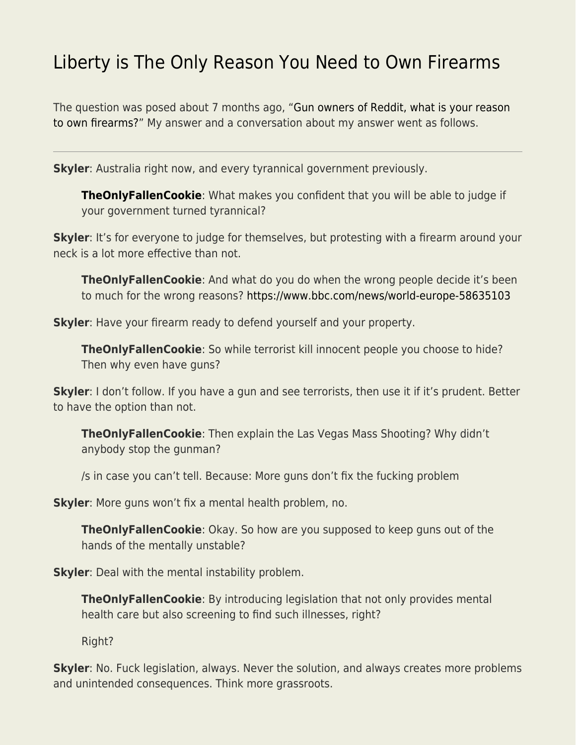## [Liberty is The Only Reason You Need to Own Firearms](https://everything-voluntary.com/liberty-is-the-only-reason-you-need-to-own-firearms)

The question was posed about 7 months ago, ["Gun owners of Reddit, what is your reason](https://www.reddit.com/r/AskReddit/comments/py2dqe/gun_owners_of_reddit_what_is_your_reason_to_own/) [to own firearms?](https://www.reddit.com/r/AskReddit/comments/py2dqe/gun_owners_of_reddit_what_is_your_reason_to_own/)" My answer and a conversation about my answer went as follows.

**Skyler**: Australia right now, and every tyrannical government previously.

**[TheOnlyFallenCookie](https://www.reddit.com/user/TheOnlyFallenCookie/)**: What makes you confident that you will be able to judge if your government turned tyrannical?

**Skyler**: It's for everyone to judge for themselves, but protesting with a firearm around your neck is a lot more effective than not.

**TheOnlyFallenCookie**: And what do you do when the wrong people decide it's been to much for the wrong reasons? <https://www.bbc.com/news/world-europe-58635103>

**Skyler**: Have your firearm ready to defend yourself and your property.

**TheOnlyFallenCookie**: So while terrorist kill innocent people you choose to hide? Then why even have guns?

**Skyler**: I don't follow. If you have a gun and see terrorists, then use it if it's prudent. Better to have the option than not.

**TheOnlyFallenCookie**: Then explain the Las Vegas Mass Shooting? Why didn't anybody stop the gunman?

/s in case you can't tell. Because: More guns don't fix the fucking problem

**Skyler**: More guns won't fix a mental health problem, no.

**TheOnlyFallenCookie**: Okay. So how are you supposed to keep guns out of the hands of the mentally unstable?

**Skyler**: Deal with the mental instability problem.

**TheOnlyFallenCookie**: By introducing legislation that not only provides mental health care but also screening to find such illnesses, right?

Right?

**Skyler**: No. Fuck legislation, always. Never the solution, and always creates more problems and unintended consequences. Think more grassroots.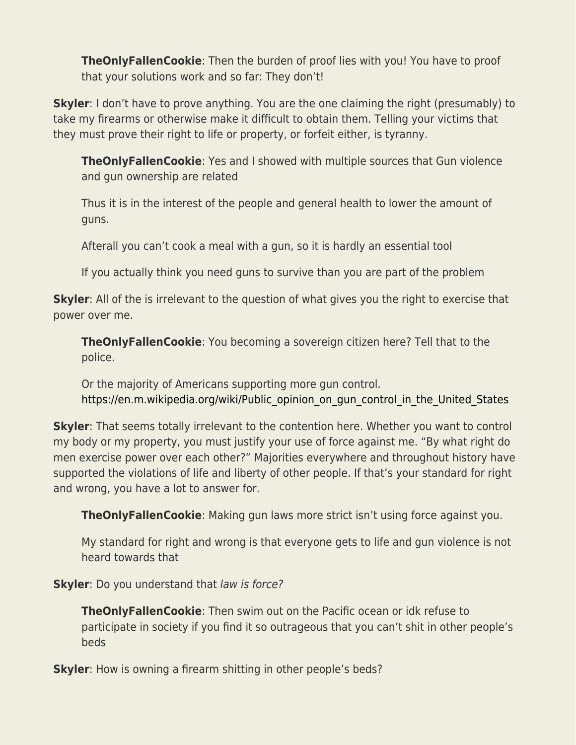**TheOnlyFallenCookie**: Then the burden of proof lies with you! You have to proof that your solutions work and so far: They don't!

**Skyler**: I don't have to prove anything. You are the one claiming the right (presumably) to take my firearms or otherwise make it difficult to obtain them. Telling your victims that they must prove their right to life or property, or forfeit either, is tyranny.

**TheOnlyFallenCookie:** Yes and I showed with multiple sources that Gun violence and gun ownership are related

Thus it is in the interest of the people and general health to lower the amount of guns.

Afterall you can't cook a meal with a gun, so it is hardly an essential tool

If you actually think you need guns to survive than you are part of the problem

**Skyler**: All of the is irrelevant to the question of what gives you the right to exercise that power over me.

**TheOnlyFallenCookie**: You becoming a sovereign citizen here? Tell that to the police.

Or the majority of Americans supporting more gun control. https://en.m.wikipedia.org/wiki/Public opinion on gun control in the United States

**Skyler**: That seems totally irrelevant to the contention here. Whether you want to control my body or my property, you must justify your use of force against me. "By what right do men exercise power over each other?" Majorities everywhere and throughout history have supported the violations of life and liberty of other people. If that's your standard for right and wrong, you have a lot to answer for.

**TheOnlyFallenCookie**: Making gun laws more strict isn't using force against you.

My standard for right and wrong is that everyone gets to life and gun violence is not heard towards that

**Skyler**: Do you understand that law is force?

**TheOnlyFallenCookie**: Then swim out on the Pacific ocean or idk refuse to participate in society if you find it so outrageous that you can't shit in other people's beds

**Skyler**: How is owning a firearm shitting in other people's beds?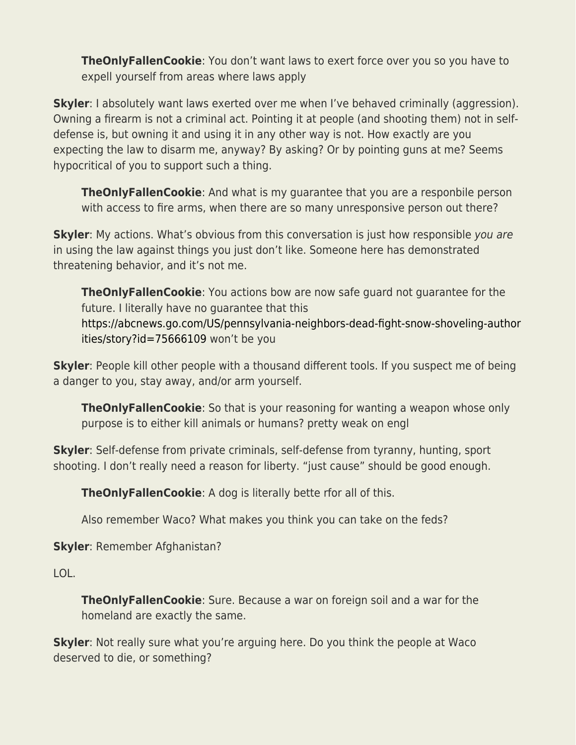**TheOnlyFallenCookie**: You don't want laws to exert force over you so you have to expell yourself from areas where laws apply

**Skyler**: I absolutely want laws exerted over me when I've behaved criminally (aggression). Owning a firearm is not a criminal act. Pointing it at people (and shooting them) not in selfdefense is, but owning it and using it in any other way is not. How exactly are you expecting the law to disarm me, anyway? By asking? Or by pointing guns at me? Seems hypocritical of you to support such a thing.

**TheOnlyFallenCookie**: And what is my guarantee that you are a responbile person with access to fire arms, when there are so many unresponsive person out there?

**Skyler**: My actions. What's obvious from this conversation is just how responsible you are in using the law against things you just don't like. Someone here has demonstrated threatening behavior, and it's not me.

**TheOnlyFallenCookie**: You actions bow are now safe guard not guarantee for the future. I literally have no guarantee that this [https://abcnews.go.com/US/pennsylvania-neighbors-dead-fight-snow-shoveling-author](https://abcnews.go.com/US/pennsylvania-neighbors-dead-fight-snow-shoveling-authorities/story?id=75666109) [ities/story?id=75666109](https://abcnews.go.com/US/pennsylvania-neighbors-dead-fight-snow-shoveling-authorities/story?id=75666109) won't be you

**Skyler**: People kill other people with a thousand different tools. If you suspect me of being a danger to you, stay away, and/or arm yourself.

**TheOnlyFallenCookie**: So that is your reasoning for wanting a weapon whose only purpose is to either kill animals or humans? pretty weak on engl

**Skyler**: Self-defense from private criminals, self-defense from tyranny, hunting, sport shooting. I don't really need a reason for liberty. "just cause" should be good enough.

**TheOnlyFallenCookie**: A dog is literally bette rfor all of this.

Also remember Waco? What makes you think you can take on the feds?

**Skyler**: Remember Afghanistan?

LOL.

**TheOnlyFallenCookie**: Sure. Because a war on foreign soil and a war for the homeland are exactly the same.

**Skyler**: Not really sure what you're arguing here. Do you think the people at Waco deserved to die, or something?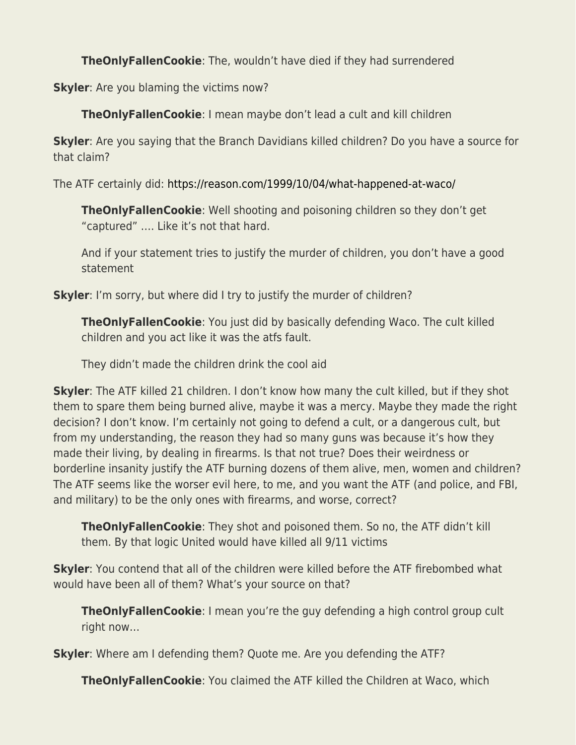**TheOnlyFallenCookie**: The, wouldn't have died if they had surrendered

**Skyler**: Are you blaming the victims now?

**TheOnlyFallenCookie**: I mean maybe don't lead a cult and kill children

**Skyler**: Are you saying that the Branch Davidians killed children? Do you have a source for that claim?

The ATF certainly did:<https://reason.com/1999/10/04/what-happened-at-waco/>

**TheOnlyFallenCookie**: Well shooting and poisoning children so they don't get "captured" …. Like it's not that hard.

And if your statement tries to justify the murder of children, you don't have a good statement

**Skyler**: I'm sorry, but where did I try to justify the murder of children?

**TheOnlyFallenCookie**: You just did by basically defending Waco. The cult killed children and you act like it was the atfs fault.

They didn't made the children drink the cool aid

**Skyler**: The ATF killed 21 children. I don't know how many the cult killed, but if they shot them to spare them being burned alive, maybe it was a mercy. Maybe they made the right decision? I don't know. I'm certainly not going to defend a cult, or a dangerous cult, but from my understanding, the reason they had so many guns was because it's how they made their living, by dealing in firearms. Is that not true? Does their weirdness or borderline insanity justify the ATF burning dozens of them alive, men, women and children? The ATF seems like the worser evil here, to me, and you want the ATF (and police, and FBI, and military) to be the only ones with firearms, and worse, correct?

**TheOnlyFallenCookie**: They shot and poisoned them. So no, the ATF didn't kill them. By that logic United would have killed all 9/11 victims

**Skyler**: You contend that all of the children were killed before the ATF firebombed what would have been all of them? What's your source on that?

**TheOnlyFallenCookie**: I mean you're the guy defending a high control group cult right now…

**Skyler**: Where am I defending them? Quote me. Are you defending the ATF?

**TheOnlyFallenCookie**: You claimed the ATF killed the Children at Waco, which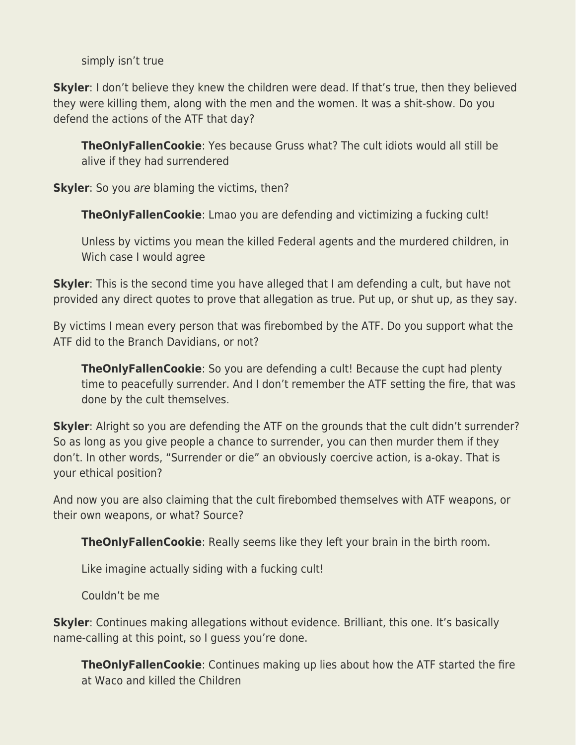simply isn't true

**Skyler**: I don't believe they knew the children were dead. If that's true, then they believed they were killing them, along with the men and the women. It was a shit-show. Do you defend the actions of the ATF that day?

**TheOnlyFallenCookie**: Yes because Gruss what? The cult idiots would all still be alive if they had surrendered

**Skyler**: So you are blaming the victims, then?

**TheOnlyFallenCookie**: Lmao you are defending and victimizing a fucking cult!

Unless by victims you mean the killed Federal agents and the murdered children, in Wich case I would agree

**Skyler**: This is the second time you have alleged that I am defending a cult, but have not provided any direct quotes to prove that allegation as true. Put up, or shut up, as they say.

By victims I mean every person that was firebombed by the ATF. Do you support what the ATF did to the Branch Davidians, or not?

**TheOnlyFallenCookie**: So you are defending a cult! Because the cupt had plenty time to peacefully surrender. And I don't remember the ATF setting the fire, that was done by the cult themselves.

**Skyler**: Alright so you are defending the ATF on the grounds that the cult didn't surrender? So as long as you give people a chance to surrender, you can then murder them if they don't. In other words, "Surrender or die" an obviously coercive action, is a-okay. That is your ethical position?

And now you are also claiming that the cult firebombed themselves with ATF weapons, or their own weapons, or what? Source?

**TheOnlyFallenCookie**: Really seems like they left your brain in the birth room.

Like imagine actually siding with a fucking cult!

Couldn't be me

**Skyler**: Continues making allegations without evidence. Brilliant, this one. It's basically name-calling at this point, so I guess you're done.

**TheOnlyFallenCookie**: Continues making up lies about how the ATF started the fire at Waco and killed the Children